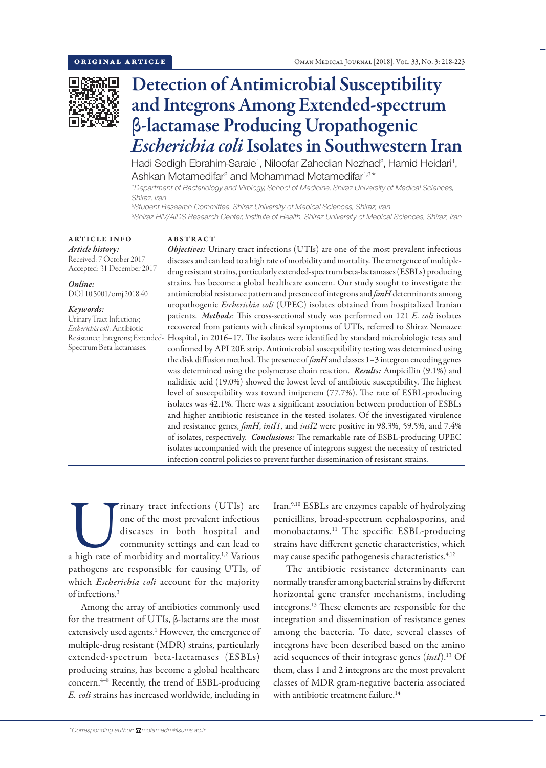

# Detection of Antimicrobial Susceptibility and Integrons Among Extended-spectrum β-lactamase Producing Uropathogenic *Escherichia coli* Isolates in Southwestern Iran

Hadi Sedigh Ebrahim-Saraie<sup>1</sup>, Niloofar Zahedian Nezhad<sup>2</sup>, Hamid Heidari<sup>1</sup>, Ashkan Motamedifar<sup>2</sup> and Mohammad Motamedifar<sup>1,3\*</sup>

*1 Department of Bacteriology and Virology, School of Medicine, Shiraz University of Medical Sciences, Shiraz, Iran*

*2 Student Research Committee, Shiraz University of Medical Sciences, Shiraz, Iran 3 Shiraz HIV/AIDS Research Center, Institute of Health, Shiraz University of Medical Sciences, Shiraz, Iran*

ARTICLE INFO *Article history:* Received: 7 October 2017

Accepted: 31 December 2017 *Online:*

DOI 10.5001/omj.2018.40

#### *Keywords:*

Urinary Tract Infections; *Escherichia coli*; Antibiotic Resistance; Integrons; Extended-Spectrum Beta-lactamases.

#### ABSTRACT

*Objectives:* Urinary tract infections (UTIs) are one of the most prevalent infectious diseases and can lead to a high rate of morbidity and mortality. The emergence of multipledrug resistant strains, particularly extended-spectrum beta-lactamases (ESBLs) producing strains, has become a global healthcare concern. Our study sought to investigate the antimicrobial resistance pattern and presence of integrons and *fimH* determinants among uropathogenic *Escherichia coli* (UPEC) isolates obtained from hospitalized Iranian patients. *Methods*: This cross-sectional study was performed on 121 *E. coli* isolates recovered from patients with clinical symptoms of UTIs, referred to Shiraz Nemazee Hospital, in 2016–17. The isolates were identified by standard microbiologic tests and confirmed by API 20E strip. Antimicrobial susceptibility testing was determined using the disk diffusion method. The presence of *fimH* and classes 1–3 integron encoding genes was determined using the polymerase chain reaction. *Results:* Ampicillin (9.1%) and nalidixic acid (19.0%) showed the lowest level of antibiotic susceptibility. The highest level of susceptibility was toward imipenem (77.7%). The rate of ESBL-producing isolates was 42.1%. There was a significant association between production of ESBLs and higher antibiotic resistance in the tested isolates. Of the investigated virulence and resistance genes, *fimH*, *intI1*, and *intI2* were positive in 98.3%, 59.5%, and 7.4% of isolates, respectively. *Conclusions:* The remarkable rate of ESBL-producing UPEC isolates accompanied with the presence of integrons suggest the necessity of restricted infection control policies to prevent further dissemination of resistant strains.

Trinary tract infections (UTIs) are one of the most prevalent infectious diseases in both hospital and community settings and can lead to a high rate of morbidity and mortality.<sup>1,2</sup> Various one of the most prevalent infectious diseases in both hospital and community settings and can lead to pathogens are responsible for causing UTIs, of which *Escherichia coli* account for the majority of infections.3

Among the array of antibiotics commonly used for the treatment of UTIs, β-lactams are the most extensively used agents.<sup>1</sup> However, the emergence of multiple-drug resistant (MDR) strains, particularly extended-spectrum beta-lactamases (ESBLs) producing strains, has become a global healthcare concern.<sup>4-8</sup> Recently, the trend of ESBL-producing *E. coli* strains has increased worldwide, including in

Iran.9,10 ESBLs are enzymes capable of hydrolyzing penicillins, broad-spectrum cephalosporins, and monobactams.11 The specific ESBL-producing strains have different genetic characteristics, which may cause specific pathogenesis characteristics.<sup>4,12</sup>

The antibiotic resistance determinants can normally transfer among bacterial strains by different horizontal gene transfer mechanisms, including integrons.13 These elements are responsible for the integration and dissemination of resistance genes among the bacteria. To date, several classes of integrons have been described based on the amino acid sequences of their integrase genes (*intI*).13 Of them, class 1 and 2 integrons are the most prevalent classes of MDR gram-negative bacteria associated with antibiotic treatment failure.<sup>14</sup>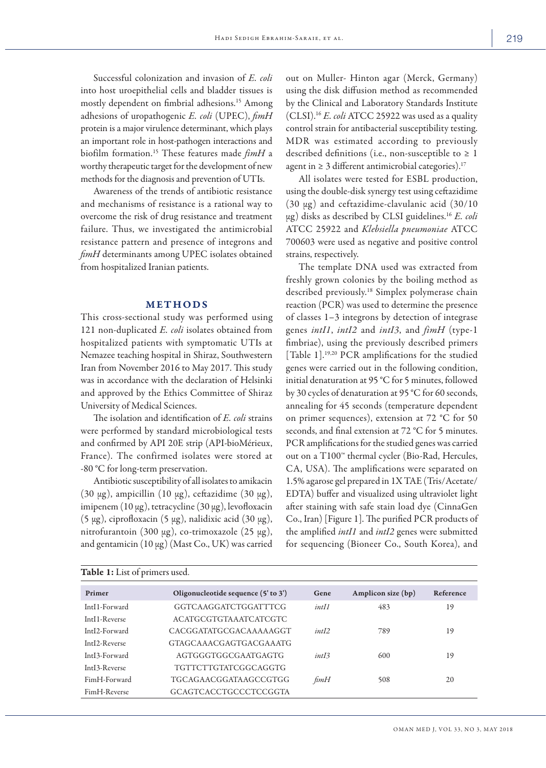Successful colonization and invasion of *E. coli* into host uroepithelial cells and bladder tissues is mostly dependent on fimbrial adhesions.15 Among adhesions of uropathogenic *E. coli* (UPEC), *fimH* protein is a major virulence determinant, which plays an important role in host-pathogen interactions and biofilm formation.15 These features made *fimH* a worthy therapeutic target for the development of new methods for the diagnosis and prevention of UTIs.

Awareness of the trends of antibiotic resistance and mechanisms of resistance is a rational way to overcome the risk of drug resistance and treatment failure. Thus, we investigated the antimicrobial resistance pattern and presence of integrons and *fimH* determinants among UPEC isolates obtained from hospitalized Iranian patients.

## METHODS

This cross-sectional study was performed using 121 non-duplicated *E. coli* isolates obtained from hospitalized patients with symptomatic UTIs at Nemazee teaching hospital in Shiraz, Southwestern Iran from November 2016 to May 2017. This study was in accordance with the declaration of Helsinki and approved by the Ethics Committee of Shiraz University of Medical Sciences.

The isolation and identification of *E. coli* strains were performed by standard microbiological tests and confirmed by API 20E strip (API-bioMérieux, France). The confirmed isolates were stored at -80 °C for long-term preservation.

Antibiotic susceptibility of all isolates to amikacin (30  $\mu$ g), ampicillin (10  $\mu$ g), ceftazidime (30  $\mu$ g), imipenem  $(10 \mu g)$ , tetracycline  $(30 \mu g)$ , levofloxacin  $(5 \mu g)$ , ciprofloxacin  $(5 \mu g)$ , nalidixic acid  $(30 \mu g)$ , nitrofurantoin (300 µg), co-trimoxazole (25 µg), and gentamicin  $(10 \mu g)$  (Mast Co., UK) was carried out on Muller- Hinton agar (Merck, Germany) using the disk diffusion method as recommended by the Clinical and Laboratory Standards Institute (CLSI).16 *E. coli* ATCC 25922 was used as a quality control strain for antibacterial susceptibility testing. MDR was estimated according to previously described definitions (i.e., non-susceptible to  $\geq 1$ agent in  $\geq 3$  different antimicrobial categories).<sup>17</sup>

All isolates were tested for ESBL production, using the double-disk synergy test using ceftazidime  $(30 \mu g)$  and ceftazidime-clavulanic acid  $(30/10)$ µg) disks as described by CLSI guidelines.16 *E. coli* ATCC 25922 and *Klebsiella pneumoniae* ATCC 700603 were used as negative and positive control strains, respectively.

The template DNA used was extracted from freshly grown colonies by the boiling method as described previously.18 Simplex polymerase chain reaction (PCR) was used to determine the presence of classes 1–3 integrons by detection of integrase genes *intI1*, *intI2* and *intI3*, and *fimH* (type-1 fimbriae), using the previously described primers [Table 1].<sup>19,20</sup> PCR amplifications for the studied genes were carried out in the following condition, initial denaturation at 95 °C for 5 minutes, followed by 30 cycles of denaturation at 95 °C for 60 seconds, annealing for 45 seconds (temperature dependent on primer sequences), extension at 72 °C for 50 seconds, and final extension at 72 °C for 5 minutes. PCR amplifications for the studied genes was carried out on a T100™ thermal cycler (Bio-Rad, Hercules, CA, USA). The amplifications were separated on 1.5% agarose gel prepared in 1X TAE (Tris/Acetate/ EDTA) buffer and visualized using ultraviolet light after staining with safe stain load dye (CinnaGen Co., Iran) [Figure 1]. The purified PCR products of the amplified *intI1* and *intI2* genes were submitted for sequencing (Bioneer Co., South Korea), and

| Table 1: List of primers used. |                                     |        |                    |           |  |  |  |  |
|--------------------------------|-------------------------------------|--------|--------------------|-----------|--|--|--|--|
| Primer                         | Oligonucleotide sequence (5' to 3') | Gene   | Amplicon size (bp) | Reference |  |  |  |  |
| IntI1-Forward                  | GGTCAAGGATCTGGATTTCG                | intII  | 483                | 19        |  |  |  |  |
| IntI1-Reverse                  | ACATGCGTGTAAATCATCGTC               |        |                    |           |  |  |  |  |
| IntI2-Forward                  | CACGGATATGCGACAAAAAGGT              | int12  | 789                | 19        |  |  |  |  |
| IntI2-Reverse                  | GTAGCAAACGAGTGACGAAATG              |        |                    |           |  |  |  |  |
| IntI3-Forward                  | AGTGGGTGGCGAATGAGTG                 | int[3] | 600                | 19        |  |  |  |  |
| IntI3-Reverse                  | TGTTCTTGTATCGGCAGGTG                |        |                    |           |  |  |  |  |
| FimH-Forward                   | TGCAGAACGGATAAGCCGTGG               | fimH   | 508                | 20        |  |  |  |  |
| FimH-Reverse                   | GCAGTCACCTGCCCTCCGGTA               |        |                    |           |  |  |  |  |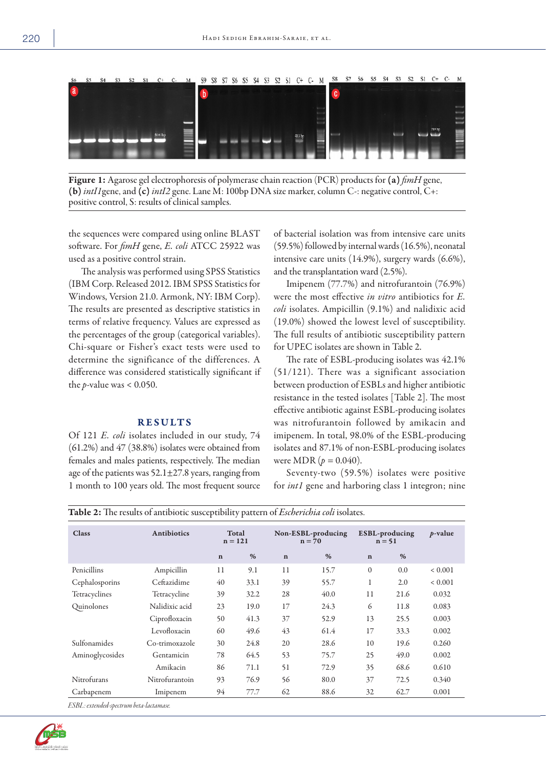

Figure 1: Agarose gel electrophoresis of polymerase chain reaction (PCR) products for (a) *fimH* gene, (b)*intI1*gene, and (c)*intI2* gene. Lane M: 100bp DNA size marker, column C-: negative control, C+: positive control, S: results of clinical samples.

the sequences were compared using online BLAST software. For *fimH* gene, *E. coli* ATCC 25922 was used as a positive control strain.

The analysis was performed using SPSS Statistics (IBM Corp. Released 2012. IBM SPSS Statistics for Windows, Version 21.0. Armonk, NY: IBM Corp). The results are presented as descriptive statistics in terms of relative frequency. Values are expressed as the percentages of the group (categorical variables). Chi-square or Fisher's exact tests were used to determine the significance of the differences. A difference was considered statistically significant if the *p*-value was < 0.050.

#### RESULTS

Of 121 *E. coli* isolates included in our study, 74 (61.2%) and 47 (38.8%) isolates were obtained from females and males patients, respectively. The median age of the patients was  $52.1 \pm 27.8$  years, ranging from 1 month to 100 years old. The most frequent source

of bacterial isolation was from intensive care units (59.5%) followed by internal wards (16.5%), neonatal intensive care units (14.9%), surgery wards (6.6%), and the transplantation ward (2.5%).

Imipenem (77.7%) and nitrofurantoin (76.9%) were the most effective *in vitro* antibiotics for *E. coli* isolates. Ampicillin (9.1%) and nalidixic acid (19.0%) showed the lowest level of susceptibility. The full results of antibiotic susceptibility pattern for UPEC isolates are shown in Table 2.

The rate of ESBL-producing isolates was 42.1% (51/121). There was a significant association between production of ESBLs and higher antibiotic resistance in the tested isolates [Table 2]. The most effective antibiotic against ESBL-producing isolates was nitrofurantoin followed by amikacin and imipenem. In total, 98.0% of the ESBL-producing isolates and 87.1% of non-ESBL-producing isolates were MDR  $(p = 0.040)$ .

Seventy-two (59.5%) isolates were positive for *int1* gene and harboring class 1 integron; nine

| <b>Class</b>        | Antibiotics    |             | Total<br>$n = 121$ | Non-ESBL-producing<br>$n = 70$ |      | ESBL-producing<br>$n = 51$ |      | $p$ -value  |
|---------------------|----------------|-------------|--------------------|--------------------------------|------|----------------------------|------|-------------|
|                     |                | $\mathbf n$ | %                  | $\mathbf n$                    | $\%$ | $\mathbf n$                | $\%$ |             |
| Penicillins         | Ampicillin     | 11          | 9.1                | 11                             | 15.7 | $\Omega$                   | 0.0  | ${}< 0.001$ |
| Cephalosporins      | Ceftazidime    | 40          | 33.1               | 39                             | 55.7 | 1                          | 2.0  | ${}< 0.001$ |
| Tetracyclines       | Tetracycline   | 39          | 32.2               | 28                             | 40.0 | 11                         | 21.6 | 0.032       |
| Quinolones          | Nalidixic acid | 23          | 19.0               | 17                             | 24.3 | 6                          | 11.8 | 0.083       |
|                     | Ciprofloxacin  | 50          | 41.3               | 37                             | 52.9 | 13                         | 25.5 | 0.003       |
|                     | Levofloxacin   | 60          | 49.6               | 43                             | 61.4 | 17                         | 33.3 | 0.002       |
| <b>Sulfonamides</b> | Co-trimoxazole | 30          | 24.8               | 20                             | 28.6 | 10                         | 19.6 | 0.260       |
| Aminoglycosides     | Gentamicin     | 78          | 64.5               | 53                             | 75.7 | 25                         | 49.0 | 0.002       |
|                     | Amikacin       | 86          | 71.1               | 51                             | 72.9 | 35                         | 68.6 | 0.610       |
| Nitrofurans         | Nitrofurantoin | 93          | 76.9               | 56                             | 80.0 | 37                         | 72.5 | 0.340       |
| Carbapenem          | Imipenem       | 94          | 77.7               | 62                             | 88.6 | 32                         | 62.7 | 0.001       |

Table 2: The results of antibiotic susceptibility pattern of *Escherichia coli* isolates.

*ESBL: extended-spectrum beta-lactamase.*

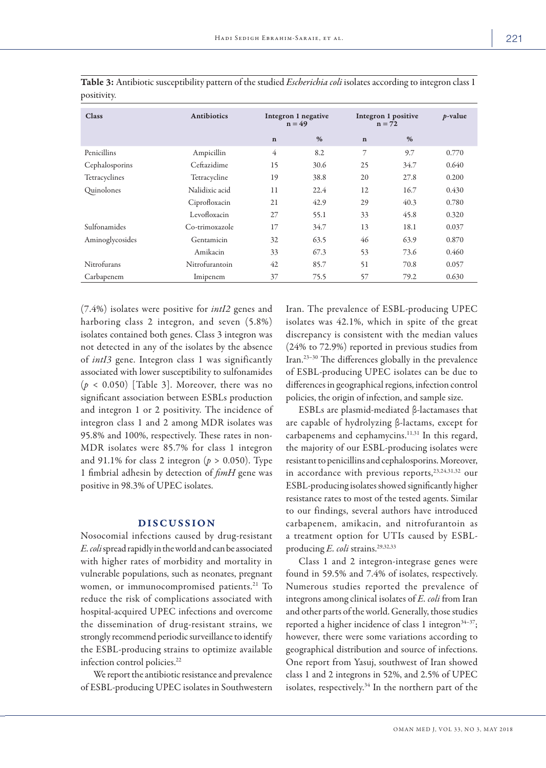| <b>Class</b>    | <b>Antibiotics</b> | Integron 1 negative<br>$n = 49$ |      | Integron 1 positive<br>$n = 72$ |      | $p$ -value |
|-----------------|--------------------|---------------------------------|------|---------------------------------|------|------------|
|                 |                    | $\mathbf n$                     | %    | $\mathbf n$                     | %    |            |
| Penicillins     | Ampicillin         | $\overline{4}$                  | 8.2  | 7                               | 9.7  | 0.770      |
| Cephalosporins  | Ceftazidime        | 15                              | 30.6 | 25                              | 34.7 | 0.640      |
| Tetracyclines   | Tetracycline       | 19                              | 38.8 | 20                              | 27.8 | 0.200      |
| Quinolones      | Nalidixic acid     | 11                              | 22.4 | 12                              | 16.7 | 0.430      |
|                 | Ciprofloxacin      | 21                              | 42.9 | 29                              | 40.3 | 0.780      |
|                 | Levofloxacin       | 27                              | 55.1 | 33                              | 45.8 | 0.320      |
| Sulfonamides    | Co-trimoxazole     | 17                              | 34.7 | 13                              | 18.1 | 0.037      |
| Aminoglycosides | Gentamicin         | 32                              | 63.5 | 46                              | 63.9 | 0.870      |
|                 | Amikacin           | 33                              | 67.3 | 53                              | 73.6 | 0.460      |
| Nitrofurans     | Nitrofurantoin     | 42                              | 85.7 | 51                              | 70.8 | 0.057      |
| Carbapenem      | Imipenem           | 37                              | 75.5 | 57                              | 79.2 | 0.630      |

Table 3: Antibiotic susceptibility pattern of the studied *Escherichia coli* isolates according to integron class 1 positivity.

(7.4%) isolates were positive for *intI2* genes and harboring class 2 integron, and seven (5.8%) isolates contained both genes. Class 3 integron was not detected in any of the isolates by the absence of *intI3* gene. Integron class 1 was significantly associated with lower susceptibility to sulfonamides  $(p < 0.050)$  [Table 3]. Moreover, there was no significant association between ESBLs production and integron 1 or 2 positivity. The incidence of integron class 1 and 2 among MDR isolates was 95.8% and 100%, respectively. These rates in non-MDR isolates were 85.7% for class 1 integron and 91.1% for class 2 integron ( $p > 0.050$ ). Type 1 fimbrial adhesin by detection of *fimH* gene was positive in 98.3% of UPEC isolates.

## DISCUSSION

Nosocomial infections caused by drug-resistant *E. coli* spread rapidly in the world and can be associated with higher rates of morbidity and mortality in vulnerable populations, such as neonates, pregnant women, or immunocompromised patients.<sup>21</sup> To reduce the risk of complications associated with hospital-acquired UPEC infections and overcome the dissemination of drug-resistant strains, we strongly recommend periodic surveillance to identify the ESBL-producing strains to optimize available infection control policies.<sup>22</sup>

We report the antibiotic resistance and prevalence of ESBL-producing UPEC isolates in Southwestern Iran. The prevalence of ESBL-producing UPEC isolates was 42.1%, which in spite of the great discrepancy is consistent with the median values (24% to 72.9%) reported in previous studies from Iran.23–30 The differences globally in the prevalence of ESBL-producing UPEC isolates can be due to differences in geographical regions, infection control policies, the origin of infection, and sample size.

ESBLs are plasmid-mediated β-lactamases that are capable of hydrolyzing β-lactams, except for carbapenems and cephamycins.<sup>11,31</sup> In this regard, the majority of our ESBL-producing isolates were resistant to penicillins and cephalosporins. Moreover, in accordance with previous reports,<sup>23,24,31,32</sup> our ESBL-producing isolates showed significantly higher resistance rates to most of the tested agents. Similar to our findings, several authors have introduced carbapenem, amikacin, and nitrofurantoin as a treatment option for UTIs caused by ESBLproducing *E. coli* strains.<sup>29,32,33</sup>

Class 1 and 2 integron-integrase genes were found in 59.5% and 7.4% of isolates, respectively. Numerous studies reported the prevalence of integrons among clinical isolates of *E. coli* from Iran and other parts of the world. Generally, those studies reported a higher incidence of class 1 integron $34-37$ ; however, there were some variations according to geographical distribution and source of infections. One report from Yasuj, southwest of Iran showed class 1 and 2 integrons in 52%, and 2.5% of UPEC isolates, respectively.<sup>34</sup> In the northern part of the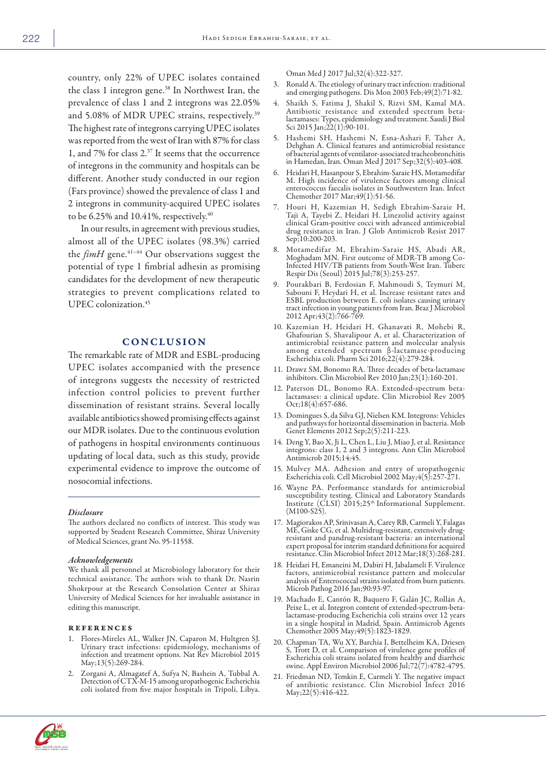country, only 22% of UPEC isolates contained the class 1 integron gene.<sup>38</sup> In Northwest Iran, the prevalence of class 1 and 2 integrons was 22.05% and 5.08% of MDR UPEC strains, respectively.<sup>39</sup> The highest rate of integrons carrying UPEC isolates was reported from the west of Iran with 87% for class 1, and 7% for class 2.37 It seems that the occurrence of integrons in the community and hospitals can be different. Another study conducted in our region (Fars province) showed the prevalence of class 1 and 2 integrons in community-acquired UPEC isolates to be 6.25% and 10.41%, respectively.<sup>40</sup>

In our results, in agreement with previous studies, almost all of the UPEC isolates (98.3%) carried the *fimH* gene.<sup>41-44</sup> Our observations suggest the potential of type 1 fimbrial adhesin as promising candidates for the development of new therapeutic strategies to prevent complications related to UPEC colonization.45

# CONCLUSION

The remarkable rate of MDR and ESBL-producing UPEC isolates accompanied with the presence of integrons suggests the necessity of restricted infection control policies to prevent further dissemination of resistant strains. Several locally available antibiotics showed promising effects against our MDR isolates. Due to the continuous evolution of pathogens in hospital environments continuous updating of local data, such as this study, provide experimental evidence to improve the outcome of nosocomial infections.

#### *Disclosure*

The authors declared no conflicts of interest. This study was supported by Student Research Committee, Shiraz University of Medical Sciences, grant No. 95-11558.

#### *Acknowledgements*

We thank all personnel at Microbiology laboratory for their technical assistance. The authors wish to thank Dr. Nasrin Shokrpour at the Research Consolation Center at Shiraz University of Medical Sciences for her invaluable assistance in editing this manuscript.

#### references

- 1. Flores-Mireles AL, Walker JN, Caparon M, Hultgren SJ. Urinary tract infections: epidemiology, mechanisms of infection and treatment options. Nat Rev Microbiol 2015 May;13(5):269-284.
- 2. Zorgani A, Almagatef A, Sufya N, Bashein A, Tubbal A. Detection of CTX-M-15 among uropathogenic Escherichia coli isolated from five major hospitals in Tripoli, Libya.

Oman Med J 2017 Jul;32(4):322-327.

- 3. Ronald A. The etiology of urinary tract infection: traditional and emerging pathogens. Dis Mon 2003 Feb;49(2):71-82.
- 4. Shaikh S, Fatima J, Shakil S, Rizvi SM, Kamal MA. Antibiotic resistance and extended spectrum betalactamases: Types, epidemiology and treatment. Saudi J Biol Sci 2015 Jan;22(1):90-101.
- 5. Hashemi SH, Hashemi N, Esna-Ashari F, Taher A, Dehghan A. Clinical features and antimicrobial resistance of bacterial agents of ventilator-associated tracheobronchitis in Hamedan, Iran. Oman Med J 2017 Sep;32(5):403-408.
- 6. Heidari H, Hasanpour S, Ebrahim-Saraie HS, Motamedifar M. High incidence of virulence factors among clinical enterococcus faecalis isolates in Southwestern Iran. Infect Chemother 2017 Mar;49(1):51-56.
- 7. Houri H, Kazemian H, Sedigh Ebrahim-Saraie H, Taji A, Tayebi Z, Heidari H. Linezolid activity against clinical Gram-positive cocci with advanced antimicrobial drug resistance in Iran. J Glob Antimicrob Resist 2017 Sep;10:200-203.
- Motamedifar M, Ebrahim-Saraie HS, Abadi AR, Moghadam MN. First outcome of MDR-TB among Co-Moghadam MN. First outcome of MDR-TB among Co- Infected HIV/TB patients from South-West Iran. Tuberc Respir Dis (Seoul) 2015 Jul;78(3):253-257.
- 9. Pourakbari B, Ferdosian F, Mahmoudi S, Teymuri M, Sabouni F, Heydari H, et al. Increase resistant rates and ESBL production between E. coli isolates causing urinary tract infection in young patients from Iran. Braz J Microbiol 2012 Apr;43(2):766-769.
- 10. Kazemian H, Heidari H, Ghanavati R, Mohebi R, Ghafourian S, Shavalipour A, et al. Characterization of antimicrobial resistance pattern and molecular analysis among extended spectrum β-lactamase-producing Escherichia coli. Pharm Sci 2016;22(4):279-284.
- 11. Drawz SM, Bonomo RA. Three decades of beta-lactamase inhibitors. Clin Microbiol Rev 2010 Jan;23(1):160-201.
- 12. Paterson DL, Bonomo RA. Extended-spectrum beta- lactamases: a clinical update. Clin Microbiol Rev 2005 Oct;18(4):657-686.
- 13. Domingues S, da Silva GJ, Nielsen KM. Integrons: Vehicles and pathways for horizontal dissemination in bacteria. Mob Genet Elements 2012 Sep;2(5):211-223.
- 14. Deng Y, Bao X, Ji L, Chen L, Liu J, Miao J, et al. Resistance integrons: class 1, 2 and 3 integrons. Ann Clin Microbiol Antimicrob 2015;14:45.
- 15. Mulvey MA. Adhesion and entry of uropathogenic Escherichia coli. Cell Microbiol 2002 May;4(5):257-271.
- 16. Wayne PA. Performance standards for antimicrobial Institute (CLSI) 2015;25<sup>th</sup> Informational Supplement. (M100-S25).
- 17. Magiorakos AP, Srinivasan A, Carey RB, Carmeli Y, Falagas resistant and pandrug-resistant bacteria: an international expert proposal for interim standard definitions for acquired resistance. Clin Microbiol Infect 2012 Mar;18(3):268-281.
- 18. Heidari H, Emaneini M, Dabiri H, Jabalameli F. Virulence factors, antimicrobial resistance pattern and molecular analysis of Enterococcal strains isolated from burn patients. Microb Pathog 2016 Jan;90:93-97.
- 19. Machado E, Cantón R, Baquero F, Galán JC, Rollán A, Peixe L, et al. Integron content of extended-spectrum-beta- lactamase-producing Escherichia coli strains over 12 years in a single hospital in Madrid, Spain. Antimicrob Agents Chemother 2005 May;49(5):1823-1829.
- 20. Chapman TA, Wu XY, Barchia I, Bettelheim KA, Driesen S, Trott D, et al. Comparison of virulence gene profiles of Escherichia coli strains isolated from healthy and diarrheic swine. Appl Environ Microbiol 2006 Jul;72(7):4782-4795.
- 21. Friedman ND, Temkin E, Carmeli Y. The negative impact of antibiotic resistance. Clin Microbiol Infect 2016 May;22(5):416-422.